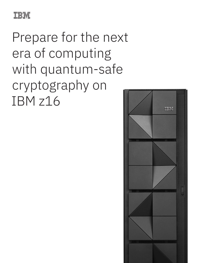

Prepare for the next era of computing with quantum-safe cryptography on IBM z16

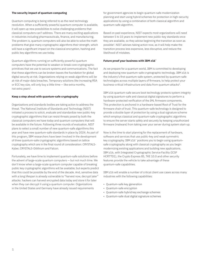## **The security impact of quantum computing**

Quantum computing is being referred to as the next technology revolution. When a sufficiently powerful quantum computer is available, it will open up new possibilities to solve challenging problems that classical computers can't address. There are many exciting applications in industries including pharmaceuticals, finance, and manufacturing. The problem is, quantum computers will also be able to solve the math problems that give many cryptographic algorithms their strength, which will have a significant impact on the classical encryption, hashing and public key algorithms we use today.

Quantum algorithms running on sufficiently powerful quantum computers have the potential to weaken or break core cryptographic primitives that we use to secure systems and communications. The fact that these algorithms can be broken leaves the foundation for global digital security at risk. Organizations relying on weak algorithms will be at risk of major data breaches. Temporary solutions like increasing RSA or ECC key size, will only buy a little time — like extra months, not extra years<sup>1</sup>.

## **Keep a step ahead with quantum-safe cryptography**

Organizations and standards bodies are taking action to address the threat. The National Institute of Standards and Technology (NIST) initiated a process to solicit, evaluate and standardize new public-key cryptographic algorithms that can resist threats posed by both the classical computers we have today and quantum computers that will be available in the future. Following three rounds of evaluation, NIST plans to select a small number of new quantum-safe algorithms this year and have new quantum-safe standards in place by 2024. As part of this program, IBM researchers have been involved in the development of three quantum-safe cryptographic algorithms based on lattice cryptography which are in the final round of consideration: CRYSTALS-Kyber, CRYSTALS-Dilithium and Falcon.

Fortunately, we have time to implement quantum-safe solutions before the advent of large-scale quantum computers — but not much time. We don't know when a large-scale quantum computer capable of breaking public key cryptographic algorithms will be available, but experts predict that this could be possible by the end of the decade. And, sensitive data with a long lifespan is already vulnerable to "harvest now, decrypt later" attacks: hackers can harvest encrypted data today and store it for later when they can decrypt it using a quantum computer. Organizations in the United States and Germany have already issued requirements

for government agencies to begin quantum-safe modernization planning and start using hybrid schemes for protection in high-security applications by using a combination of both classical algorithm and quantum-safe algorithm.

Based on past experience, NIST expects most organizations will need between 5 to 15 years to implement new public-key standards once they are available, so they advise beginning the transition as soon as possible2. NIST advises taking action now, as it will help make the transition process less expensive, less disruptive, and reduce the likelihood of mistakes.

### **Future proof your business with IBM z16™**

As we prepare for a quantum world, IBM is committed to developing and deploying new quantum-safe cryptographic technology. IBM z16 is the industry's first quantum-safe system, protected by quantum-safe technologies across multiple layers of firmware, to help protect your business-critical infrastructure and data from quantum attacks<sup>3</sup>.

IBM z16 quantum-safe secure boot technology protects system integrity by using quantum-safe and classical digital signatures to perform a hardware-protected verification of the IML firmware components. This protection is anchored in a hardware-based Root of Trust for the firmware chain of trust. This quantum-safe technology is designed to provide a double layer of protection by using a dual signature scheme which employs classical and quantum-safe cryptographic algorithms to ensure the server starts safely and securely by keeping unauthorized firmware (malware) from taking over your server during system start-up.

Now is the time to start planning for the replacement of hardware, software and services that use public-key and weak symmetric key cryptography. IBM z16™ positions you to begin using quantumsafe cryptography along with classical cryptography as you begin modernizing existing applications and building new applications. IBM z16, with Integrated Cryptographic Service Facility (ICSF HCR77D1), the Crypto Express 8S, TKE 10.0 and other security features provide the vehicle to take advantage of these quantum-safe capabilities.

IBM z16 will enable a number of critical client use cases across many industries with the following capabilities:

- Quantum-safe key generation
- Quantum-safe encryption
- Quantum-safe hybrid key exchange schemes
- Quantum-safe dual digital signature schemes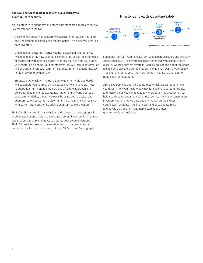## **Tools and services to help accelerate your journey to quantum-safe security**

As you prepare to adopt new quantum-safe standards, there are several key milestones to follow:

- Discover and classify data: Start by classifying the value of your data and understanding compliance requirements. This helps you create a data inventory.
- Create a crypto inventory: Once you have classified your data, you will need to identify how your data is encrypted, as well as other uses of cryptography to create a crypto inventory that will help you during your migration planning. Your crypto inventory will include information like encryption protocols, symmetric and asymmetric algorithms, key lengths, crypto providers, etc.
- Embrace crypto agility: The transition to quantum-safe standards will be a multi-year journey as standards evolve and vendors move to adopt quantum-safe technology. Use a flexible approach and be prepared to make replacements. Implement a hybrid approach as recommended by industry experts by using both classical and quantum-safe cryptographic algorithms. This maintains compliance with current standards while adding quantum-safe protection.

IBM z16 offers several tools to help you discover how cryptography is used in applications to aid in developing a crypto inventory for migration and modernization planning. As you create your crypto inventory, IBM z16 provides new instrumentation that can be used to track cryptographic instruction execution in the CP Assist for Cryptographic

# Milestones Towards Quantum-Safety



\* Algorithms must also be adopted into relevant standards

Functions (CPACF). Additionally, IBM Application Discovery and Delivery Intelligence (ADDI) software has been enhanced with capabilities to discover where and what crypto is used in applications. Other tools that aid in crypto discovery on the platform include IBM ICSF Crypto Usage Tracking, the IBM Crypto Analytics Tool (CAT), and z/OS® Encryption Readiness Technology (zERT).

IBM Z Lab Services offers a Quantum Safe Risk Assessment to help you discern how your technology may fare against quantum threats, and review steps you can take today to prepare. This assessment will help you discover and map your critical services relying on encryption, inventory your encrypted data and encryption artifacts (keys, certificates), evaluate risks in the pre- and post-quantum era and develop a transition roadmap including the latest quantum-safe technologies.